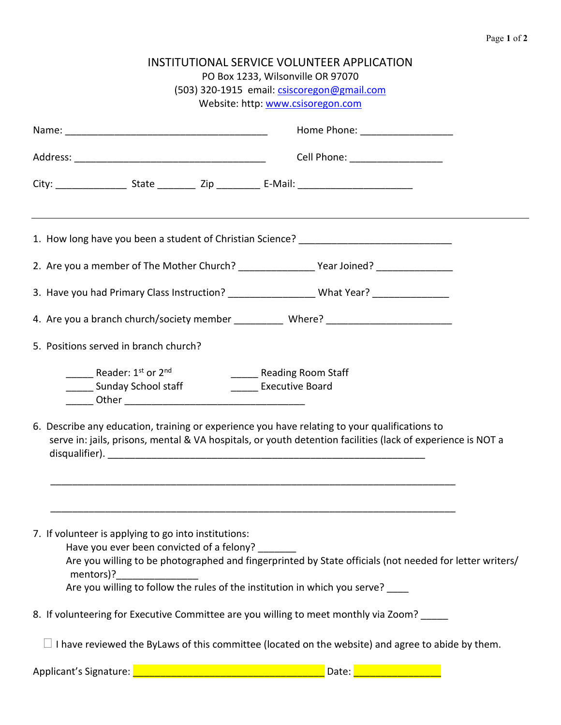| INSTITUTIONAL SERVICE VOLUNTEER APPLICATION<br>PO Box 1233, Wilsonville OR 97070<br>(503) 320-1915 email: csiscoregon@gmail.com                                                      |                                                                                                             |  |
|--------------------------------------------------------------------------------------------------------------------------------------------------------------------------------------|-------------------------------------------------------------------------------------------------------------|--|
|                                                                                                                                                                                      | Website: http: www.csisoregon.com                                                                           |  |
|                                                                                                                                                                                      | Home Phone: ____________________                                                                            |  |
|                                                                                                                                                                                      | Cell Phone: ___________________                                                                             |  |
|                                                                                                                                                                                      |                                                                                                             |  |
| 1. How long have you been a student of Christian Science? _______________________                                                                                                    |                                                                                                             |  |
| 2. Are you a member of The Mother Church? ________________________Year Joined? _____________________                                                                                 |                                                                                                             |  |
| 3. Have you had Primary Class Instruction? ___________________What Year? ______________                                                                                              |                                                                                                             |  |
| 4. Are you a branch church/society member _____________ Where? __________________                                                                                                    |                                                                                                             |  |
| 5. Positions served in branch church?                                                                                                                                                |                                                                                                             |  |
| <b>Example 2</b> Reader: $1^{st}$ or $2^{nd}$<br>_______ Sunday School staff                                                                                                         | Reading Room Staff<br><b>Executive Board</b>                                                                |  |
| 6. Describe any education, training or experience you have relating to your qualifications to                                                                                        | serve in: jails, prisons, mental & VA hospitals, or youth detention facilities (lack of experience is NOT a |  |
|                                                                                                                                                                                      |                                                                                                             |  |
| 7. If volunteer is applying to go into institutions:<br>Have you ever been convicted of a felony?<br>Are you willing to follow the rules of the institution in which you serve? ____ | Are you willing to be photographed and fingerprinted by State officials (not needed for letter writers/     |  |
| 8. If volunteering for Executive Committee are you willing to meet monthly via Zoom?                                                                                                 |                                                                                                             |  |
|                                                                                                                                                                                      | $\Box$ I have reviewed the ByLaws of this committee (located on the website) and agree to abide by them.    |  |
| Applicant's Signature: <u>2000 - 2000 - 2000 - 2000 - 2000 - 2000 - 2010 - 2010 - 2010 - 2010</u> Date: 2010 - 2010                                                                  |                                                                                                             |  |